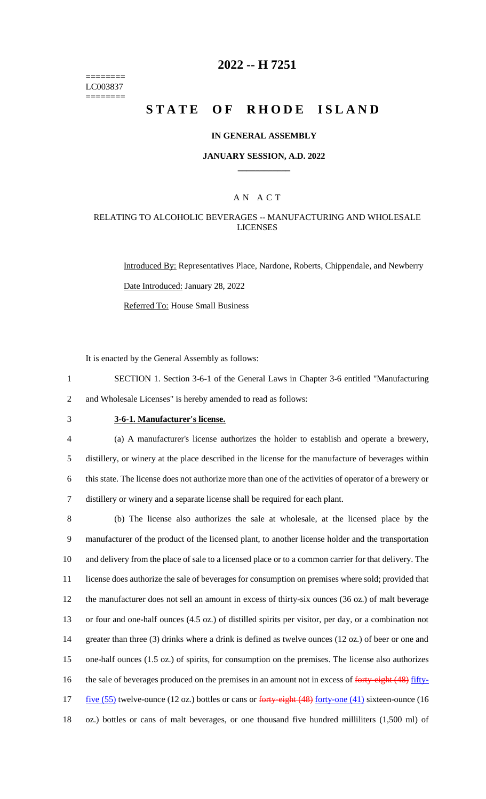======== LC003837 ========

# **2022 -- H 7251**

# **STATE OF RHODE ISLAND**

#### **IN GENERAL ASSEMBLY**

#### **JANUARY SESSION, A.D. 2022 \_\_\_\_\_\_\_\_\_\_\_\_**

### A N A C T

### RELATING TO ALCOHOLIC BEVERAGES -- MANUFACTURING AND WHOLESALE LICENSES

Introduced By: Representatives Place, Nardone, Roberts, Chippendale, and Newberry Date Introduced: January 28, 2022 Referred To: House Small Business

It is enacted by the General Assembly as follows:

1 SECTION 1. Section 3-6-1 of the General Laws in Chapter 3-6 entitled "Manufacturing 2 and Wholesale Licenses" is hereby amended to read as follows:

# 3 **3-6-1. Manufacturer's license.**

 (a) A manufacturer's license authorizes the holder to establish and operate a brewery, distillery, or winery at the place described in the license for the manufacture of beverages within this state. The license does not authorize more than one of the activities of operator of a brewery or distillery or winery and a separate license shall be required for each plant.

 (b) The license also authorizes the sale at wholesale, at the licensed place by the manufacturer of the product of the licensed plant, to another license holder and the transportation and delivery from the place of sale to a licensed place or to a common carrier for that delivery. The license does authorize the sale of beverages for consumption on premises where sold; provided that the manufacturer does not sell an amount in excess of thirty-six ounces (36 oz.) of malt beverage or four and one-half ounces (4.5 oz.) of distilled spirits per visitor, per day, or a combination not greater than three (3) drinks where a drink is defined as twelve ounces (12 oz.) of beer or one and one-half ounces (1.5 oz.) of spirits, for consumption on the premises. The license also authorizes 16 the sale of beverages produced on the premises in an amount not in excess of forty-eight (48) fifty-17 five  $(55)$  twelve-ounce  $(12 \text{ oz.})$  bottles or cans or forty-eight  $(48)$  forty-one  $(41)$  sixteen-ounce  $(16 \text{ oz.})$ oz.) bottles or cans of malt beverages, or one thousand five hundred milliliters (1,500 ml) of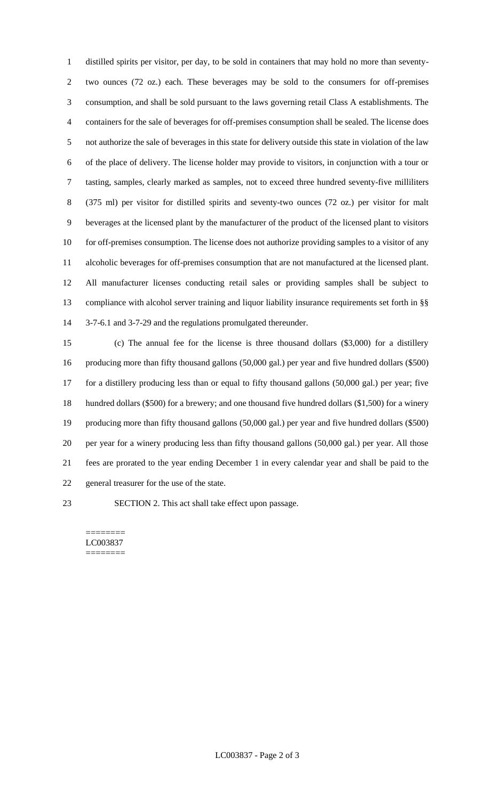distilled spirits per visitor, per day, to be sold in containers that may hold no more than seventy- two ounces (72 oz.) each. These beverages may be sold to the consumers for off-premises consumption, and shall be sold pursuant to the laws governing retail Class A establishments. The containers for the sale of beverages for off-premises consumption shall be sealed. The license does not authorize the sale of beverages in this state for delivery outside this state in violation of the law of the place of delivery. The license holder may provide to visitors, in conjunction with a tour or tasting, samples, clearly marked as samples, not to exceed three hundred seventy-five milliliters (375 ml) per visitor for distilled spirits and seventy-two ounces (72 oz.) per visitor for malt beverages at the licensed plant by the manufacturer of the product of the licensed plant to visitors 10 for off-premises consumption. The license does not authorize providing samples to a visitor of any alcoholic beverages for off-premises consumption that are not manufactured at the licensed plant. All manufacturer licenses conducting retail sales or providing samples shall be subject to compliance with alcohol server training and liquor liability insurance requirements set forth in §§ 3-7-6.1 and 3-7-29 and the regulations promulgated thereunder.

 (c) The annual fee for the license is three thousand dollars (\$3,000) for a distillery producing more than fifty thousand gallons (50,000 gal.) per year and five hundred dollars (\$500) for a distillery producing less than or equal to fifty thousand gallons (50,000 gal.) per year; five hundred dollars (\$500) for a brewery; and one thousand five hundred dollars (\$1,500) for a winery producing more than fifty thousand gallons (50,000 gal.) per year and five hundred dollars (\$500) per year for a winery producing less than fifty thousand gallons (50,000 gal.) per year. All those fees are prorated to the year ending December 1 in every calendar year and shall be paid to the general treasurer for the use of the state.

SECTION 2. This act shall take effect upon passage.

======== LC003837 ========